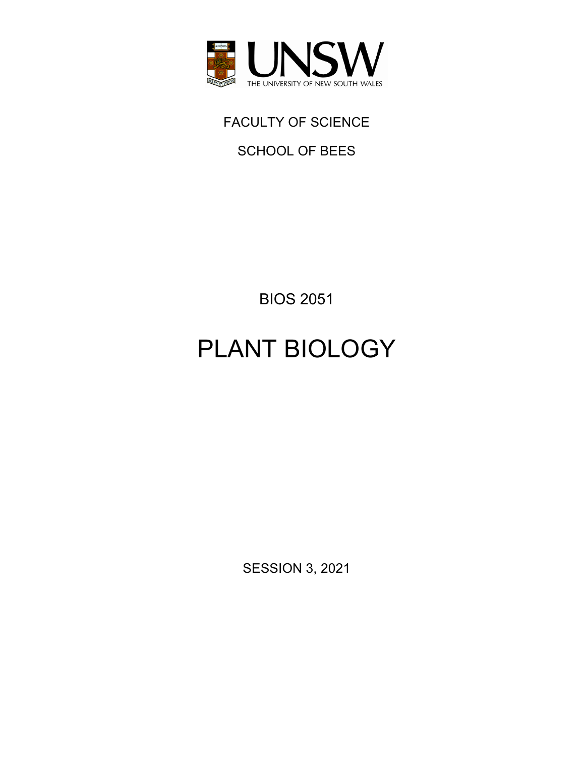

# FACULTY OF SCIENCE

SCHOOL OF BEES

BIOS 2051

# PLANT BIOLOGY

SESSION 3, 2021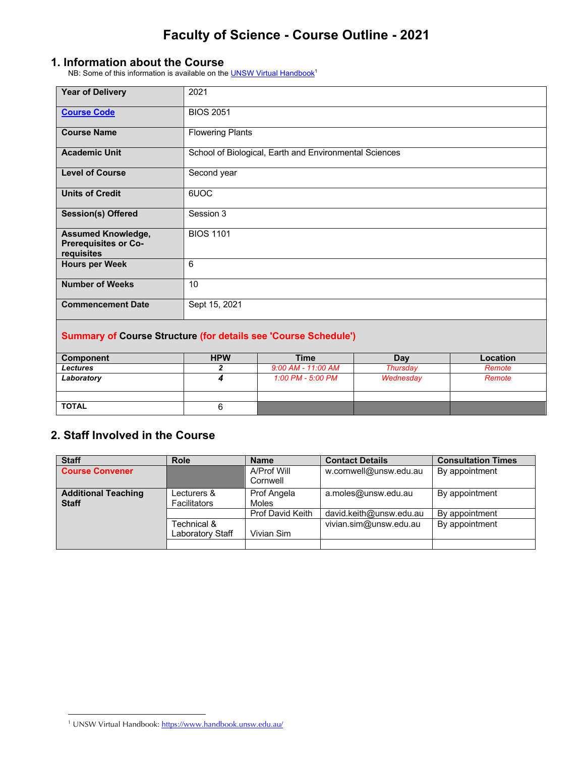#### **1. Information about the Course**

NB: Some of this information is available on the **UNSW Virtual Handbook**<sup>1</sup>

| <b>Year of Delivery</b>                                                | 2021                    |                                                        |            |                 |
|------------------------------------------------------------------------|-------------------------|--------------------------------------------------------|------------|-----------------|
| <b>Course Code</b>                                                     | <b>BIOS 2051</b>        |                                                        |            |                 |
| <b>Course Name</b>                                                     | <b>Flowering Plants</b> |                                                        |            |                 |
| <b>Academic Unit</b>                                                   |                         | School of Biological, Earth and Environmental Sciences |            |                 |
| <b>Level of Course</b>                                                 | Second year             |                                                        |            |                 |
| <b>Units of Credit</b>                                                 | 6UOC                    |                                                        |            |                 |
| <b>Session(s) Offered</b>                                              | Session 3               |                                                        |            |                 |
| <b>Assumed Knowledge,</b><br><b>Prerequisites or Co-</b><br>requisites | <b>BIOS 1101</b>        |                                                        |            |                 |
| <b>Hours per Week</b>                                                  | 6                       |                                                        |            |                 |
| <b>Number of Weeks</b>                                                 | 10                      |                                                        |            |                 |
| <b>Commencement Date</b>                                               | Sept 15, 2021           |                                                        |            |                 |
| <b>Summary of Course Structure (for details see 'Course Schedule')</b> |                         |                                                        |            |                 |
| <b>Component</b>                                                       | <b>HPW</b>              | <b>Time</b>                                            | <b>Day</b> | <b>Location</b> |
| l acturas                                                              | 2                       | $9.00 \ \text{AM}$ - 11:00 AM                          | Thursday   | Remote          |

| Component       | <b>HPW</b> | l ime              | Day       | Location |
|-----------------|------------|--------------------|-----------|----------|
| <b>Lectures</b> |            | 9:00 AM - 11:00 AM | Thursdav  | Remote   |
| Laboratory      |            | 1:00 PM - 5:00 PM  | Wednesday | Remote   |
|                 |            |                    |           |          |
|                 |            |                    |           |          |
| <b>TOTAL</b>    |            |                    |           |          |
|                 |            |                    |           |          |

### **2. Staff Involved in the Course**

| <b>Staff</b>                               | <b>Role</b>                        | <b>Name</b>                 | <b>Contact Details</b>  | <b>Consultation Times</b> |
|--------------------------------------------|------------------------------------|-----------------------------|-------------------------|---------------------------|
| <b>Course Convener</b>                     |                                    | A/Prof Will<br>Cornwell     | w.cornwell@unsw.edu.au  | By appointment            |
| <b>Additional Teaching</b><br><b>Staff</b> | Lecturers &<br><b>Facilitators</b> | Prof Angela<br><b>Moles</b> | a.moles@unsw.edu.au     | By appointment            |
|                                            |                                    | <b>Prof David Keith</b>     | david.keith@unsw.edu.au | By appointment            |
|                                            | Technical &                        |                             | vivian.sim@unsw.edu.au  | By appointment            |
|                                            | Laboratory Staff                   | Vivian Sim                  |                         |                           |
|                                            |                                    |                             |                         |                           |

<sup>&</sup>lt;sup>1</sup> UNSW Virtual Handbook: https://www.handbook.unsw.edu.au/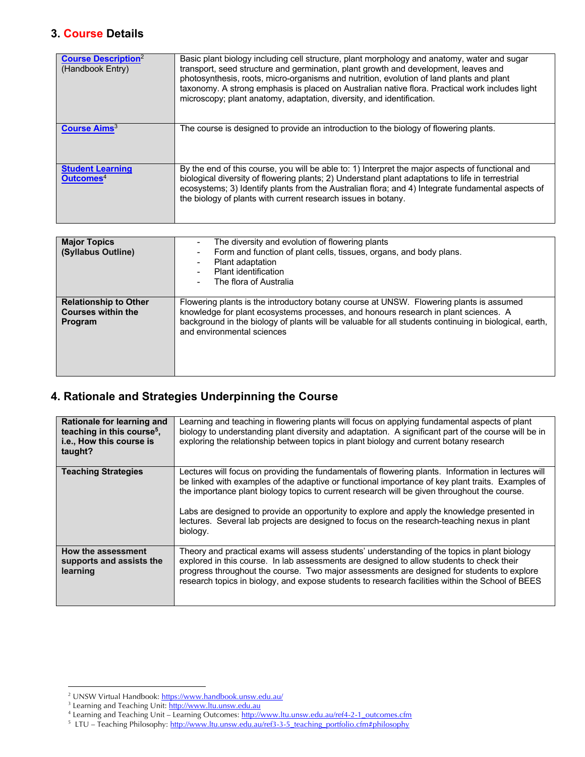### **3. Course Details**

| <b>Course Description</b> <sup>2</sup><br>(Handbook Entry) | Basic plant biology including cell structure, plant morphology and anatomy, water and sugar<br>transport, seed structure and germination, plant growth and development, leaves and<br>photosynthesis, roots, micro-organisms and nutrition, evolution of land plants and plant<br>taxonomy. A strong emphasis is placed on Australian native flora. Practical work includes light<br>microscopy; plant anatomy, adaptation, diversity, and identification. |
|------------------------------------------------------------|------------------------------------------------------------------------------------------------------------------------------------------------------------------------------------------------------------------------------------------------------------------------------------------------------------------------------------------------------------------------------------------------------------------------------------------------------------|
| Course Aims <sup>3</sup>                                   | The course is designed to provide an introduction to the biology of flowering plants.                                                                                                                                                                                                                                                                                                                                                                      |
| <b>Student Learning</b><br>Outcomes <sup>4</sup>           | By the end of this course, you will be able to: 1) Interpret the major aspects of functional and<br>biological diversity of flowering plants; 2) Understand plant adaptations to life in terrestrial<br>ecosystems; 3) Identify plants from the Australian flora; and 4) Integrate fundamental aspects of<br>the biology of plants with current research issues in botany.                                                                                 |

| <b>Major Topics</b><br>(Syllabus Outline)                            | The diversity and evolution of flowering plants<br>۰<br>Form and function of plant cells, tissues, organs, and body plans.<br>$\overline{\phantom{a}}$<br>Plant adaptation<br>$\overline{\phantom{a}}$<br>Plant identification<br>The flora of Australia<br>$\overline{\phantom{0}}$                                   |
|----------------------------------------------------------------------|------------------------------------------------------------------------------------------------------------------------------------------------------------------------------------------------------------------------------------------------------------------------------------------------------------------------|
| <b>Relationship to Other</b><br><b>Courses within the</b><br>Program | Flowering plants is the introductory botany course at UNSW. Flowering plants is assumed<br>knowledge for plant ecosystems processes, and honours research in plant sciences. A<br>background in the biology of plants will be valuable for all students continuing in biological, earth,<br>and environmental sciences |

### **4. Rationale and Strategies Underpinning the Course**

| Rationale for learning and<br>teaching in this course <sup>5</sup> ,<br>i.e., How this course is<br>taught? | Learning and teaching in flowering plants will focus on applying fundamental aspects of plant<br>biology to understanding plant diversity and adaptation. A significant part of the course will be in<br>exploring the relationship between topics in plant biology and current botany research                                                                                                                                                                                                                     |
|-------------------------------------------------------------------------------------------------------------|---------------------------------------------------------------------------------------------------------------------------------------------------------------------------------------------------------------------------------------------------------------------------------------------------------------------------------------------------------------------------------------------------------------------------------------------------------------------------------------------------------------------|
| <b>Teaching Strategies</b>                                                                                  | Lectures will focus on providing the fundamentals of flowering plants. Information in lectures will<br>be linked with examples of the adaptive or functional importance of key plant traits. Examples of<br>the importance plant biology topics to current research will be given throughout the course.<br>Labs are designed to provide an opportunity to explore and apply the knowledge presented in<br>lectures. Several lab projects are designed to focus on the research-teaching nexus in plant<br>biology. |
| How the assessment<br>supports and assists the<br>learning                                                  | Theory and practical exams will assess students' understanding of the topics in plant biology<br>explored in this course. In lab assessments are designed to allow students to check their<br>progress throughout the course. Two major assessments are designed for students to explore<br>research topics in biology, and expose students to research facilities within the School of BEES                                                                                                                        |

<sup>&</sup>lt;sup>2</sup> UNSW Virtual Handbook: https://www.handbook.unsw.edu.au/

<sup>&</sup>lt;sup>3</sup> Learning and Teaching Unit: <u>http://www.ltu.unsw.edu.au</u>

<sup>&</sup>lt;sup>4</sup> Learning and Teaching Unit – Learning Outcomes: http://www.ltu.unsw.edu.au/ref4-2-1\_outcomes.cfm

<sup>&</sup>lt;sup>5</sup> LTU – Teaching Philosophy: http://www.ltu.unsw.edu.au/ref3-3-5\_teaching\_portfolio.cfm#philosophy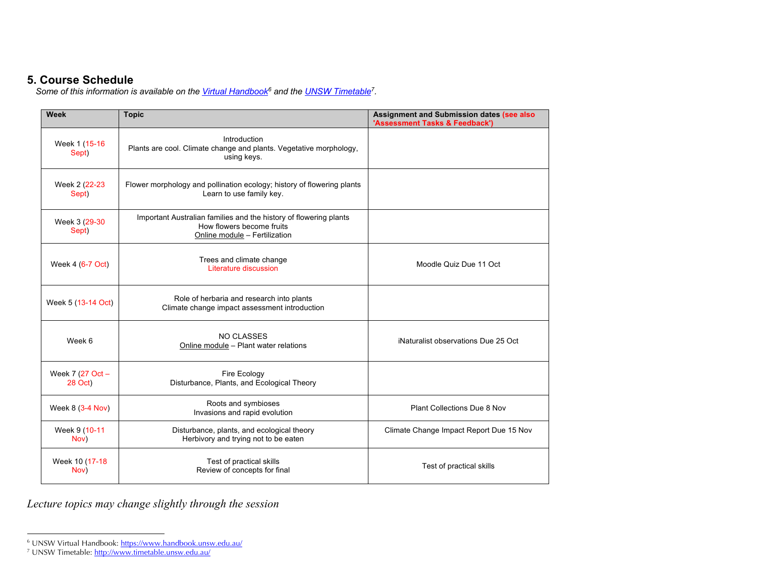### **5. Course Schedule**

*Some of this information is available on the Virtual Handbook6 and the UNSW Timetable7.* 

| <b>Week</b>                 | <b>Topic</b>                                                                                                                    | Assignment and Submission dates (see also<br>'Assessment Tasks & Feedback') |
|-----------------------------|---------------------------------------------------------------------------------------------------------------------------------|-----------------------------------------------------------------------------|
| Week 1 (15-16<br>Sept)      | Introduction<br>Plants are cool. Climate change and plants. Vegetative morphology,<br>using keys.                               |                                                                             |
| Week 2 (22-23)<br>Sept)     | Flower morphology and pollination ecology; history of flowering plants<br>Learn to use family key.                              |                                                                             |
| Week 3 (29-30<br>Sept)      | Important Australian families and the history of flowering plants<br>How flowers become fruits<br>Online module - Fertilization |                                                                             |
| Week 4 (6-7 Oct)            | Trees and climate change<br>Literature discussion                                                                               | Moodle Quiz Due 11 Oct                                                      |
| Week 5 (13-14 Oct)          | Role of herbaria and research into plants<br>Climate change impact assessment introduction                                      |                                                                             |
| Week 6                      | <b>NO CLASSES</b><br>Online module - Plant water relations                                                                      | iNaturalist observations Due 25 Oct                                         |
| Week 7 (27 Oct -<br>28 Oct) | Fire Ecology<br>Disturbance, Plants, and Ecological Theory                                                                      |                                                                             |
| Week 8 (3-4 Nov)            | Roots and symbioses<br>Invasions and rapid evolution                                                                            | Plant Collections Due 8 Nov                                                 |
| Week 9 (10-11<br>Nov)       | Disturbance, plants, and ecological theory<br>Herbivory and trying not to be eaten                                              | Climate Change Impact Report Due 15 Nov                                     |
| Week 10 (17-18<br>Nov)      | Test of practical skills<br>Review of concepts for final                                                                        | Test of practical skills                                                    |

*Lecture topics may change slightly through the session*

<sup>&</sup>lt;sup>6</sup> UNSW Virtual Handbook: https://www.handbook.unsw.edu.au/

<sup>&</sup>lt;sup>7</sup> UNSW Timetable: <u>http://www.timetable.unsw.edu.au</u>/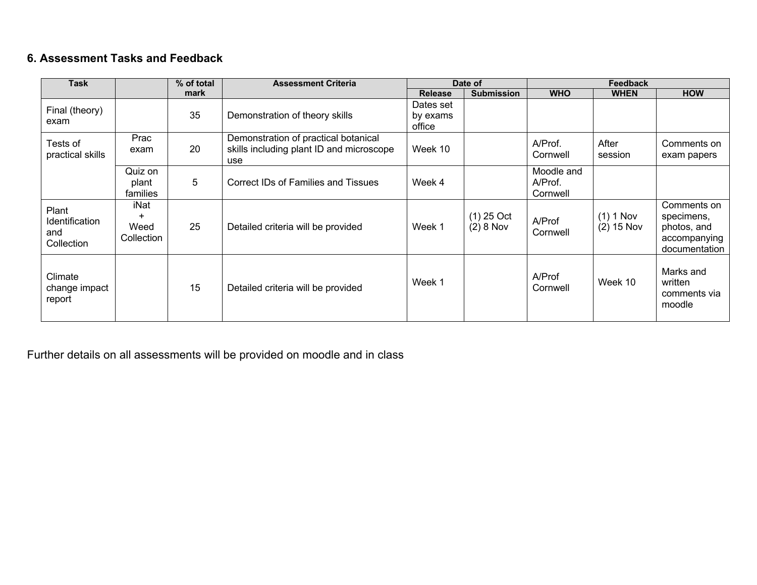### **6. Assessment Tasks and Feedback**

| <b>Task</b>                                  |                              | % of total | <b>Assessment Criteria</b>                                                              |                                 | Date of                     |                                   | <b>Feedback</b>             |                                                                           |  |
|----------------------------------------------|------------------------------|------------|-----------------------------------------------------------------------------------------|---------------------------------|-----------------------------|-----------------------------------|-----------------------------|---------------------------------------------------------------------------|--|
|                                              |                              | mark       |                                                                                         | <b>Release</b>                  | <b>Submission</b>           | <b>WHO</b>                        | <b>WHEN</b>                 | <b>HOW</b>                                                                |  |
| Final (theory)<br>exam                       |                              | 35         | Demonstration of theory skills                                                          | Dates set<br>by exams<br>office |                             |                                   |                             |                                                                           |  |
| Tests of<br>practical skills                 | Prac<br>exam                 | 20         | Demonstration of practical botanical<br>skills including plant ID and microscope<br>use | Week 10                         |                             | A/Prof.<br>Cornwell               | After<br>session            | Comments on<br>exam papers                                                |  |
|                                              | Quiz on<br>plant<br>families | 5          | Correct IDs of Families and Tissues                                                     | Week 4                          |                             | Moodle and<br>A/Prof.<br>Cornwell |                             |                                                                           |  |
| Plant<br>Identification<br>and<br>Collection | iNat<br>Weed<br>Collection   | 25         | Detailed criteria will be provided                                                      | Week 1                          | $(1)$ 25 Oct<br>$(2) 8$ Nov | A/Prof<br>Cornwell                | $(1) 1$ Nov<br>$(2)$ 15 Nov | Comments on<br>specimens,<br>photos, and<br>accompanying<br>documentation |  |
| Climate<br>change impact<br>report           |                              | 15         | Detailed criteria will be provided                                                      | Week 1                          |                             | A/Prof<br>Cornwell                | Week 10                     | Marks and<br>written<br>comments via<br>moodle                            |  |

Further details on all assessments will be provided on moodle and in class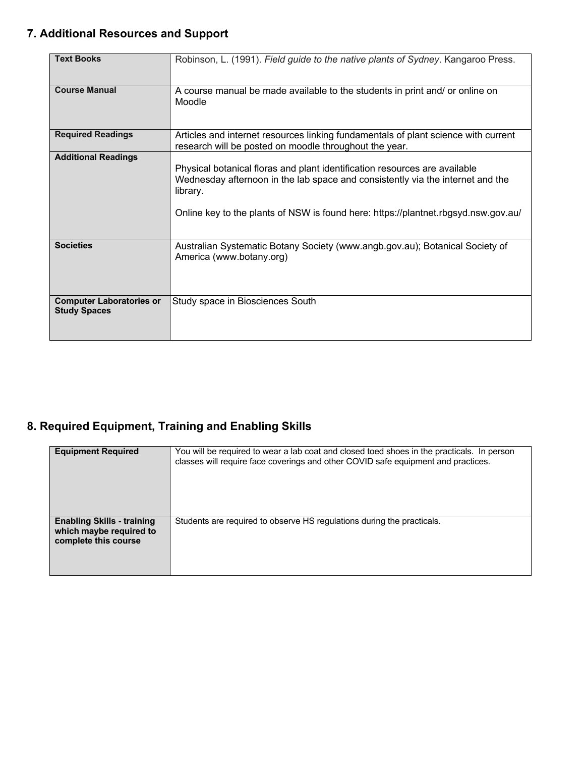## **7. Additional Resources and Support**

| <b>Text Books</b>                                      | Robinson, L. (1991). Field guide to the native plants of Sydney. Kangaroo Press.                                                                                                                                                                               |
|--------------------------------------------------------|----------------------------------------------------------------------------------------------------------------------------------------------------------------------------------------------------------------------------------------------------------------|
| <b>Course Manual</b>                                   | A course manual be made available to the students in print and/ or online on<br>Moodle                                                                                                                                                                         |
| <b>Required Readings</b>                               | Articles and internet resources linking fundamentals of plant science with current<br>research will be posted on moodle throughout the year.                                                                                                                   |
| <b>Additional Readings</b>                             | Physical botanical floras and plant identification resources are available<br>Wednesday afternoon in the lab space and consistently via the internet and the<br>library.<br>Online key to the plants of NSW is found here: https://plantnet.rbgsyd.nsw.gov.au/ |
| <b>Societies</b>                                       | Australian Systematic Botany Society (www.angb.gov.au); Botanical Society of<br>America (www.botany.org)                                                                                                                                                       |
| <b>Computer Laboratories or</b><br><b>Study Spaces</b> | Study space in Biosciences South                                                                                                                                                                                                                               |

### **8. Required Equipment, Training and Enabling Skills**

| <b>Equipment Required</b>                                                            | You will be required to wear a lab coat and closed toed shoes in the practicals. In person<br>classes will require face coverings and other COVID safe equipment and practices. |
|--------------------------------------------------------------------------------------|---------------------------------------------------------------------------------------------------------------------------------------------------------------------------------|
| <b>Enabling Skills - training</b><br>which maybe required to<br>complete this course | Students are required to observe HS regulations during the practicals.                                                                                                          |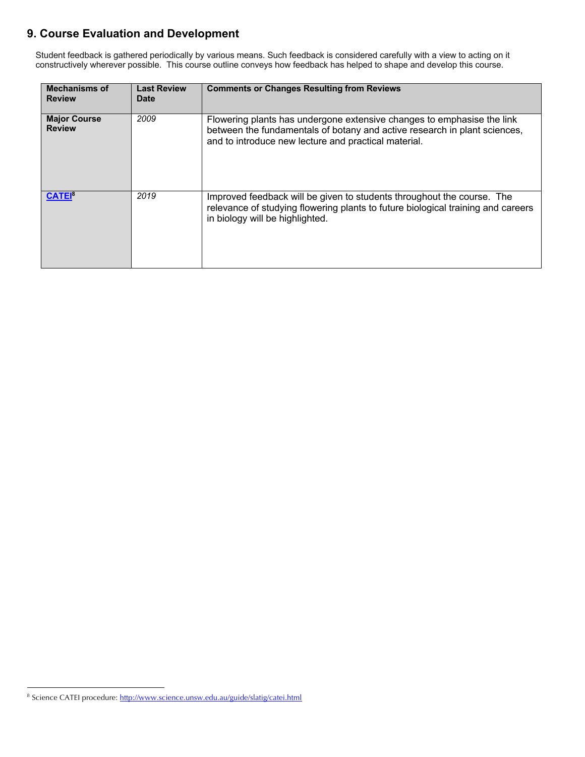### **9. Course Evaluation and Development**

Student feedback is gathered periodically by various means. Such feedback is considered carefully with a view to acting on it constructively wherever possible. This course outline conveys how feedback has helped to shape and develop this course.

| <b>Mechanisms of</b><br><b>Review</b> | <b>Last Review</b><br><b>Date</b> | <b>Comments or Changes Resulting from Reviews</b>                                                                                                                                                           |
|---------------------------------------|-----------------------------------|-------------------------------------------------------------------------------------------------------------------------------------------------------------------------------------------------------------|
| <b>Major Course</b><br><b>Review</b>  | 2009                              | Flowering plants has undergone extensive changes to emphasise the link<br>between the fundamentals of botany and active research in plant sciences,<br>and to introduce new lecture and practical material. |
| <b>CATEI</b> <sup>8</sup>             | 2019                              | Improved feedback will be given to students throughout the course. The<br>relevance of studying flowering plants to future biological training and careers<br>in biology will be highlighted.               |

<sup>&</sup>lt;sup>8</sup> Science CATEI procedure: http://www.science.unsw.edu.au/guide/slatig/catei.html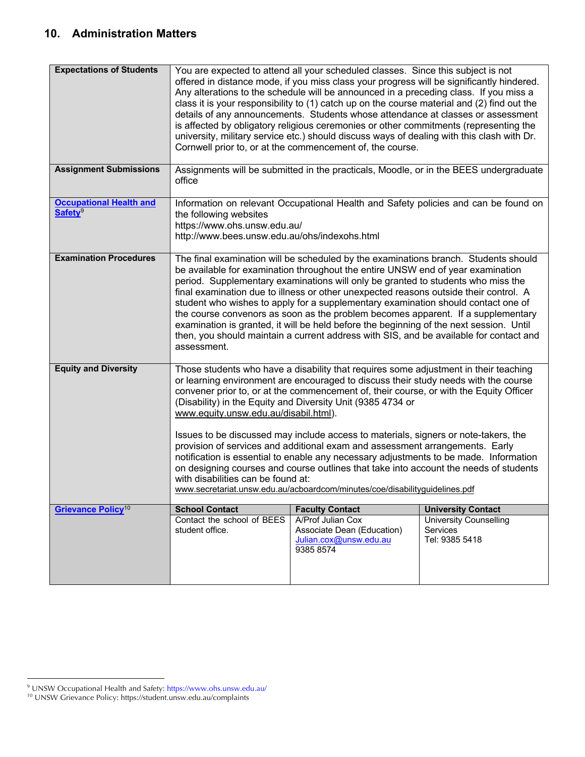### **10. Administration Matters**

| <b>Expectations of Students</b>                       | You are expected to attend all your scheduled classes. Since this subject is not<br>offered in distance mode, if you miss class your progress will be significantly hindered.<br>Any alterations to the schedule will be announced in a preceding class. If you miss a<br>class it is your responsibility to (1) catch up on the course material and (2) find out the<br>details of any announcements. Students whose attendance at classes or assessment<br>is affected by obligatory religious ceremonies or other commitments (representing the<br>university, military service etc.) should discuss ways of dealing with this clash with Dr.<br>Cornwell prior to, or at the commencement of, the course.                                                                                                                                               |                                                                                        |                                                             |  |
|-------------------------------------------------------|-------------------------------------------------------------------------------------------------------------------------------------------------------------------------------------------------------------------------------------------------------------------------------------------------------------------------------------------------------------------------------------------------------------------------------------------------------------------------------------------------------------------------------------------------------------------------------------------------------------------------------------------------------------------------------------------------------------------------------------------------------------------------------------------------------------------------------------------------------------|----------------------------------------------------------------------------------------|-------------------------------------------------------------|--|
| <b>Assignment Submissions</b>                         | office                                                                                                                                                                                                                                                                                                                                                                                                                                                                                                                                                                                                                                                                                                                                                                                                                                                      | Assignments will be submitted in the practicals, Moodle, or in the BEES undergraduate  |                                                             |  |
| <b>Occupational Health and</b><br>Safety <sup>9</sup> | the following websites<br>https://www.ohs.unsw.edu.au/<br>http://www.bees.unsw.edu.au/ohs/indexohs.html                                                                                                                                                                                                                                                                                                                                                                                                                                                                                                                                                                                                                                                                                                                                                     | Information on relevant Occupational Health and Safety policies and can be found on    |                                                             |  |
| <b>Examination Procedures</b>                         | The final examination will be scheduled by the examinations branch. Students should<br>be available for examination throughout the entire UNSW end of year examination<br>period. Supplementary examinations will only be granted to students who miss the<br>final examination due to illness or other unexpected reasons outside their control. A<br>student who wishes to apply for a supplementary examination should contact one of<br>the course convenors as soon as the problem becomes apparent. If a supplementary<br>examination is granted, it will be held before the beginning of the next session. Until<br>then, you should maintain a current address with SIS, and be available for contact and<br>assessment.                                                                                                                            |                                                                                        |                                                             |  |
| <b>Equity and Diversity</b>                           | Those students who have a disability that requires some adjustment in their teaching<br>or learning environment are encouraged to discuss their study needs with the course<br>convener prior to, or at the commencement of, their course, or with the Equity Officer<br>(Disability) in the Equity and Diversity Unit (9385 4734 or<br>www.equity.unsw.edu.au/disabil.html).<br>Issues to be discussed may include access to materials, signers or note-takers, the<br>provision of services and additional exam and assessment arrangements. Early<br>notification is essential to enable any necessary adjustments to be made. Information<br>on designing courses and course outlines that take into account the needs of students<br>with disabilities can be found at:<br>www.secretariat.unsw.edu.au/acboardcom/minutes/coe/disabilityguidelines.pdf |                                                                                        |                                                             |  |
| <b>Grievance Policy<sup>10</sup></b>                  | <b>School Contact</b>                                                                                                                                                                                                                                                                                                                                                                                                                                                                                                                                                                                                                                                                                                                                                                                                                                       | <b>Faculty Contact</b>                                                                 | <b>University Contact</b>                                   |  |
|                                                       | Contact the school of BEES<br>student office.                                                                                                                                                                                                                                                                                                                                                                                                                                                                                                                                                                                                                                                                                                                                                                                                               | A/Prof Julian Cox<br>Associate Dean (Education)<br>Julian.cox@unsw.edu.au<br>9385 8574 | <b>University Counselling</b><br>Services<br>Tel: 9385 5418 |  |

<sup>&</sup>lt;sup>9</sup> UNSW Occupational Health and Safety: https://www.ohs.unsw.edu.au/

<sup>10</sup> UNSW Grievance Policy: https://student.unsw.edu.au/complaints